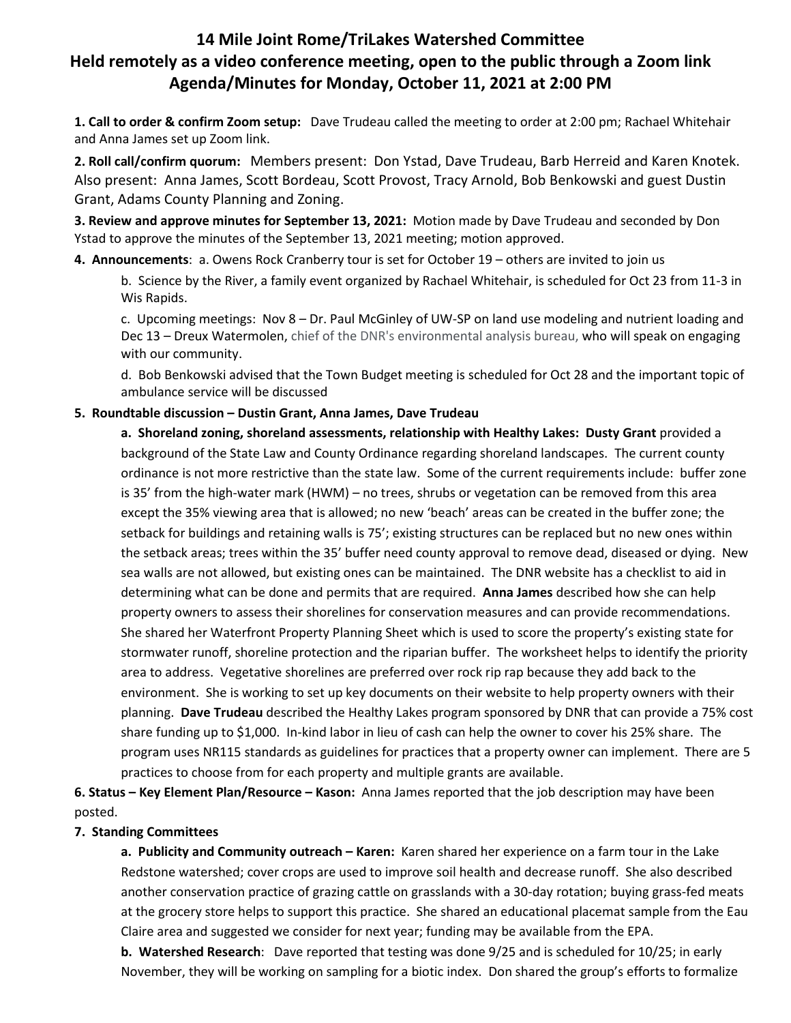## **14 Mile Joint Rome/TriLakes Watershed Committee Held remotely as a video conference meeting, open to the public through a Zoom link Agenda/Minutes for Monday, October 11, 2021 at 2:00 PM**

**1. Call to order & confirm Zoom setup:** Dave Trudeau called the meeting to order at 2:00 pm; Rachael Whitehair and Anna James set up Zoom link.

**2. Roll call/confirm quorum:** Members present: Don Ystad, Dave Trudeau, Barb Herreid and Karen Knotek. Also present: Anna James, Scott Bordeau, Scott Provost, Tracy Arnold, Bob Benkowski and guest Dustin Grant, Adams County Planning and Zoning.

**3. Review and approve minutes for September 13, 2021:** Motion made by Dave Trudeau and seconded by Don Ystad to approve the minutes of the September 13, 2021 meeting; motion approved.

**4. Announcements**: a. Owens Rock Cranberry tour is set for October 19 – others are invited to join us

b. Science by the River, a family event organized by Rachael Whitehair, is scheduled for Oct 23 from 11-3 in Wis Rapids.

c. Upcoming meetings: Nov 8 – Dr. Paul McGinley of UW-SP on land use modeling and nutrient loading and Dec 13 – Dreux Watermolen, chief of the DNR's environmental analysis bureau, who will speak on engaging with our community.

d. Bob Benkowski advised that the Town Budget meeting is scheduled for Oct 28 and the important topic of ambulance service will be discussed

## **5. Roundtable discussion – Dustin Grant, Anna James, Dave Trudeau**

**a. Shoreland zoning, shoreland assessments, relationship with Healthy Lakes: Dusty Grant** provided a background of the State Law and County Ordinance regarding shoreland landscapes. The current county ordinance is not more restrictive than the state law. Some of the current requirements include: buffer zone is 35' from the high-water mark (HWM) – no trees, shrubs or vegetation can be removed from this area except the 35% viewing area that is allowed; no new 'beach' areas can be created in the buffer zone; the setback for buildings and retaining walls is 75'; existing structures can be replaced but no new ones within the setback areas; trees within the 35' buffer need county approval to remove dead, diseased or dying. New sea walls are not allowed, but existing ones can be maintained. The DNR website has a checklist to aid in determining what can be done and permits that are required. **Anna James** described how she can help property owners to assess their shorelines for conservation measures and can provide recommendations. She shared her Waterfront Property Planning Sheet which is used to score the property's existing state for stormwater runoff, shoreline protection and the riparian buffer. The worksheet helps to identify the priority area to address. Vegetative shorelines are preferred over rock rip rap because they add back to the environment. She is working to set up key documents on their website to help property owners with their planning. **Dave Trudeau** described the Healthy Lakes program sponsored by DNR that can provide a 75% cost share funding up to \$1,000. In-kind labor in lieu of cash can help the owner to cover his 25% share. The program uses NR115 standards as guidelines for practices that a property owner can implement. There are 5 practices to choose from for each property and multiple grants are available.

**6. Status – Key Element Plan/Resource – Kason:** Anna James reported that the job description may have been posted.

## **7. Standing Committees**

**a. Publicity and Community outreach – Karen:** Karen shared her experience on a farm tour in the Lake Redstone watershed; cover crops are used to improve soil health and decrease runoff. She also described another conservation practice of grazing cattle on grasslands with a 30-day rotation; buying grass-fed meats at the grocery store helps to support this practice. She shared an educational placemat sample from the Eau Claire area and suggested we consider for next year; funding may be available from the EPA.

**b. Watershed Research**: Dave reported that testing was done 9/25 and is scheduled for 10/25; in early November, they will be working on sampling for a biotic index. Don shared the group's efforts to formalize